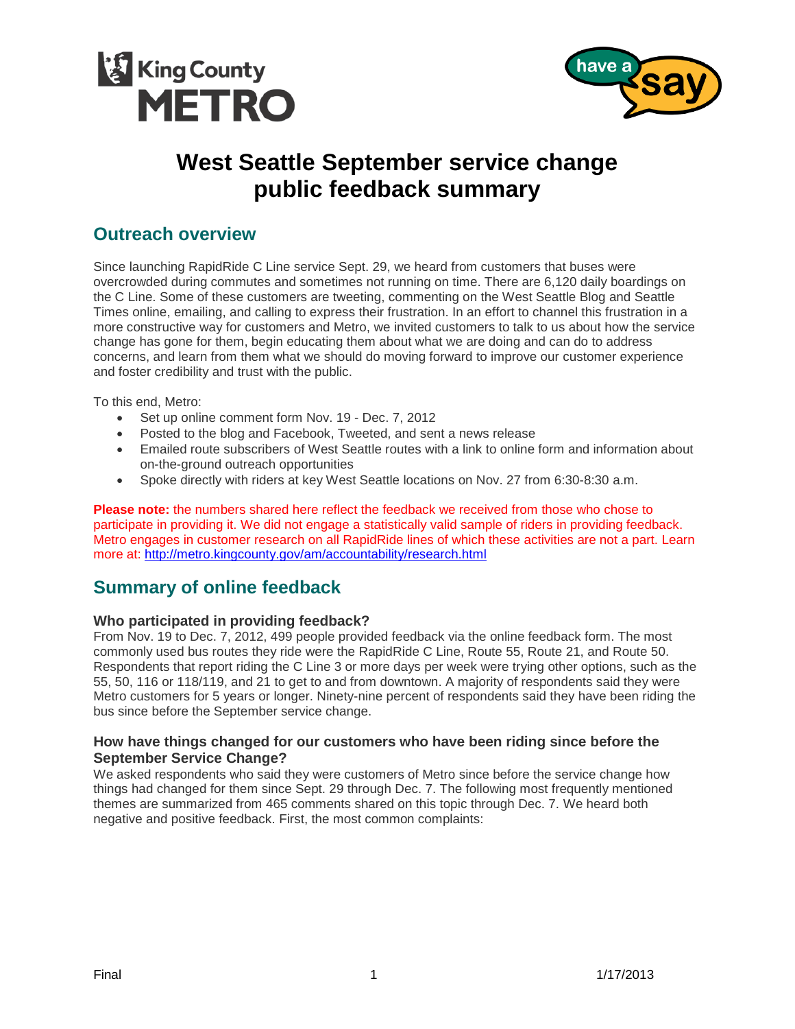



# **West Seattle September service change public feedback summary**

# **Outreach overview**

Since launching RapidRide C Line service Sept. 29, we heard from customers that buses were overcrowded during commutes and sometimes not running on time. There are 6,120 daily boardings on the C Line. Some of these customers are tweeting, commenting on the West Seattle Blog and Seattle Times online, emailing, and calling to express their frustration. In an effort to channel this frustration in a more constructive way for customers and Metro, we invited customers to talk to us about how the service change has gone for them, begin educating them about what we are doing and can do to address concerns, and learn from them what we should do moving forward to improve our customer experience and foster credibility and trust with the public.

To this end, Metro:

- Set up online comment form Nov. 19 Dec. 7, 2012
- Posted to the blog and Facebook, Tweeted, and sent a news release
- Emailed route subscribers of West Seattle routes with a link to online form and information about on-the-ground outreach opportunities
- Spoke directly with riders at key West Seattle locations on Nov. 27 from 6:30-8:30 a.m.

**Please note:** the numbers shared here reflect the feedback we received from those who chose to participate in providing it. We did not engage a statistically valid sample of riders in providing feedback. Metro engages in customer research on all RapidRide lines of which these activities are not a part. Learn more at: <http://metro.kingcounty.gov/am/accountability/research.html>

# **Summary of online feedback**

## **Who participated in providing feedback?**

From Nov. 19 to Dec. 7, 2012, 499 people provided feedback via the online feedback form. The most commonly used bus routes they ride were the RapidRide C Line, Route 55, Route 21, and Route 50. Respondents that report riding the C Line 3 or more days per week were trying other options, such as the 55, 50, 116 or 118/119, and 21 to get to and from downtown. A majority of respondents said they were Metro customers for 5 years or longer. Ninety-nine percent of respondents said they have been riding the bus since before the September service change.

## **How have things changed for our customers who have been riding since before the September Service Change?**

We asked respondents who said they were customers of Metro since before the service change how things had changed for them since Sept. 29 through Dec. 7. The following most frequently mentioned themes are summarized from 465 comments shared on this topic through Dec. 7. We heard both negative and positive feedback. First, the most common complaints: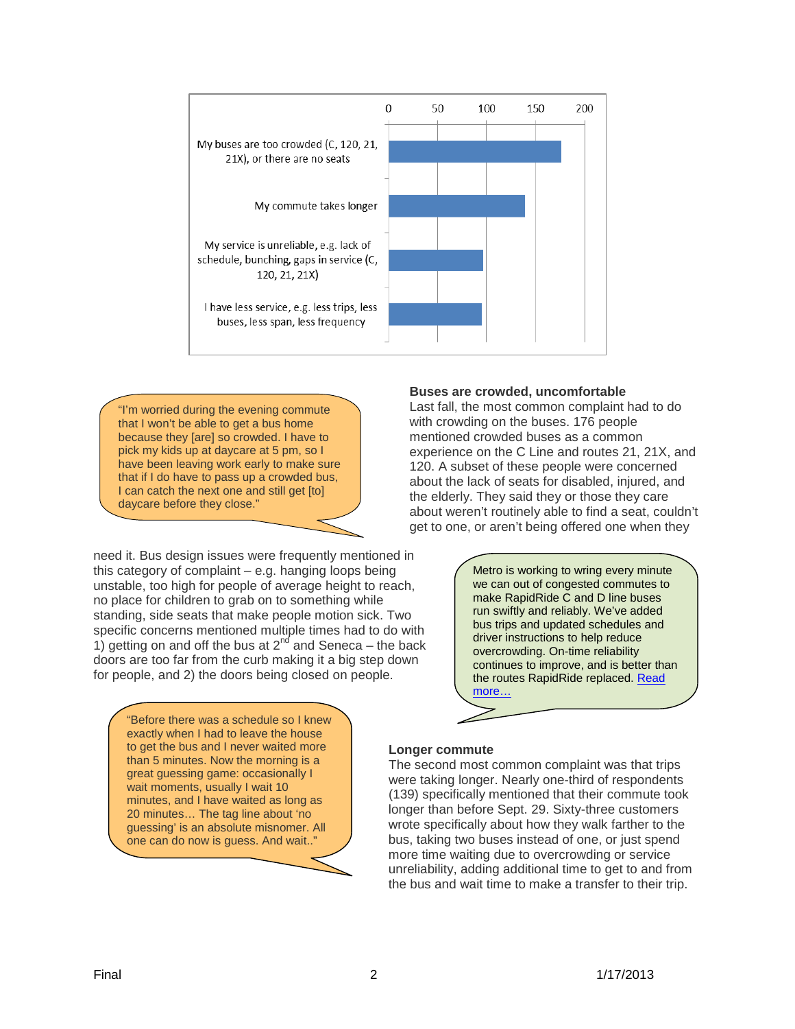

"I'm worried during the evening commute that I won't be able to get a bus home because they [are] so crowded. I have to pick my kids up at daycare at 5 pm, so I have been leaving work early to make sure that if I do have to pass up a crowded bus, I can catch the next one and still get [to] daycare before they close."

need it. Bus design issues were frequently mentioned in this category of complaint – e.g. hanging loops being unstable, too high for people of average height to reach, no place for children to grab on to something while standing, side seats that make people motion sick. Two specific concerns mentioned multiple times had to do with 1) getting on and off the bus at  $2^{nd}$  and Seneca – the back doors are too far from the curb making it a big step down for people, and 2) the doors being closed on people.

> "Before there was a schedule so I knew exactly when I had to leave the house to get the bus and I never waited more than 5 minutes. Now the morning is a great guessing game: occasionally I wait moments, usually I wait 10 minutes, and I have waited as long as 20 minutes… The tag line about 'no guessing' is an absolute misnomer. All one can do now is guess. And wait.."

## **Buses are crowded, uncomfortable**

Last fall, the most common complaint had to do with crowding on the buses. 176 people mentioned crowded buses as a common experience on the C Line and routes 21, 21X, and 120. A subset of these people were concerned about the lack of seats for disabled, injured, and the elderly. They said they or those they care about weren't routinely able to find a seat, couldn't get to one, or aren't being offered one when they

> Metro is working to wring every minute we can out of congested commutes to make RapidRide C and D line buses run swiftly and reliably. We've added bus trips and updated schedules and driver instructions to help reduce overcrowding. On-time reliability continues to improve, and is better than the routes RapidRide replaced. Read [more…](http://metrofutureblog.wordpress.com/2012/12/05/more-green-lights-for-rapidride-buses/)

## **Longer commute**

The second most common complaint was that trips were taking longer. Nearly one-third of respondents (139) specifically mentioned that their commute took longer than before Sept. 29. Sixty-three customers wrote specifically about how they walk farther to the bus, taking two buses instead of one, or just spend more time waiting due to overcrowding or service unreliability, adding additional time to get to and from the bus and wait time to make a transfer to their trip.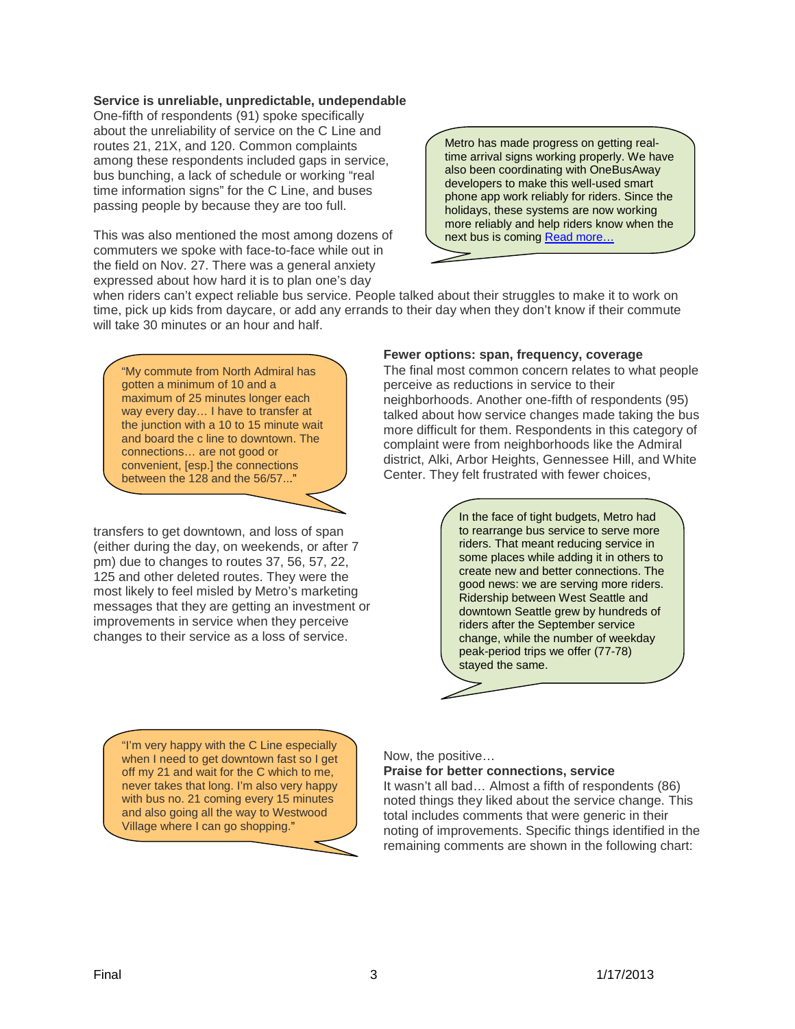## **Service is unreliable, unpredictable, undependable**

One-fifth of respondents (91) spoke specifically about the unreliability of service on the C Line and routes 21, 21X, and 120. Common complaints among these respondents included gaps in service, bus bunching, a lack of schedule or working "real time information signs" for the C Line, and buses passing people by because they are too full.

This was also mentioned the most among dozens of commuters we spoke with face-to-face while out in the field on Nov. 27. There was a general anxiety expressed about how hard it is to plan one's day

Metro has made progress on getting realtime arrival signs working properly. We have also been coordinating with OneBusAway developers to make this well-used smart phone app work reliably for riders. Since the holidays, these systems are now working more reliably and help riders know when the next bus is coming [Read more…](http://metrofutureblog.wordpress.com/2013/01/04/one_bus_hooray/)

when riders can't expect reliable bus service. People talked about their struggles to make it to work on time, pick up kids from daycare, or add any errands to their day when they don't know if their commute will take 30 minutes or an hour and half.

"My commute from North Admiral has gotten a minimum of 10 and a maximum of 25 minutes longer each way every day… I have to transfer at the junction with a 10 to 15 minute wait and board the c line to downtown. The connections… are not good or convenient, [esp.] the connections between the 128 and the 56/57..."

transfers to get downtown, and loss of span (either during the day, on weekends, or after 7 pm) due to changes to routes 37, 56, 57, 22, 125 and other deleted routes. They were the most likely to feel misled by Metro's marketing messages that they are getting an investment or improvements in service when they perceive changes to their service as a loss of service.

## **Fewer options: span, frequency, coverage**

The final most common concern relates to what people perceive as reductions in service to their neighborhoods. Another one-fifth of respondents (95) talked about how service changes made taking the bus more difficult for them. Respondents in this category of complaint were from neighborhoods like the Admiral district, Alki, Arbor Heights, Gennessee Hill, and White Center. They felt frustrated with fewer choices,

> In the face of tight budgets, Metro had to rearrange bus service to serve more riders. That meant reducing service in some places while adding it in others to create new and better connections. The good news: we are serving more riders. Ridership between West Seattle and downtown Seattle grew by hundreds of riders after the September service change, while the number of weekday peak-period trips we offer (77-78) stayed the same.

"I'm very happy with the C Line especially when I need to get downtown fast so I get off my 21 and wait for the C which to me, never takes that long. I'm also very happy with bus no. 21 coming every 15 minutes and also going all the way to Westwood Village where I can go shopping."

#### Now, the positive…

**Praise for better connections, service**

It wasn't all bad… Almost a fifth of respondents (86) noted things they liked about the service change. This total includes comments that were generic in their noting of improvements. Specific things identified in the remaining comments are shown in the following chart: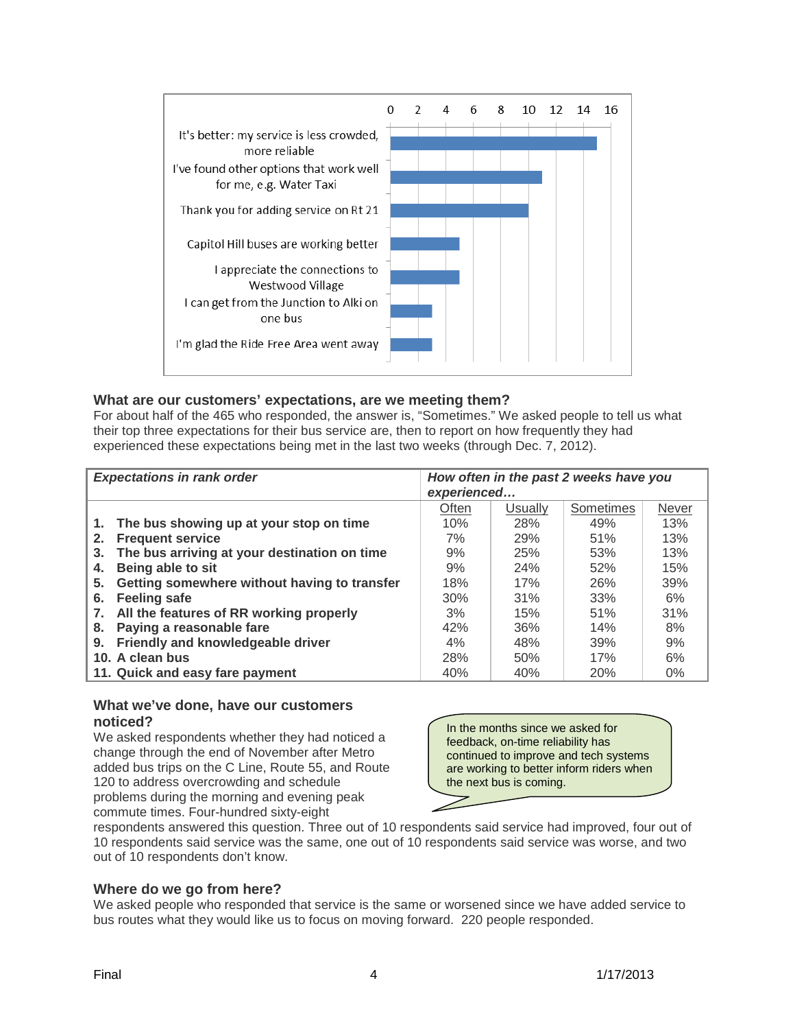

## **What are our customers' expectations, are we meeting them?**

For about half of the 465 who responded, the answer is, "Sometimes." We asked people to tell us what their top three expectations for their bus service are, then to report on how frequently they had experienced these expectations being met in the last two weeks (through Dec. 7, 2012).

| <b>Expectations in rank order</b>                  | How often in the past 2 weeks have you<br>experienced |         |            |       |
|----------------------------------------------------|-------------------------------------------------------|---------|------------|-------|
|                                                    | Often                                                 | Usually | Sometimes  | Never |
| The bus showing up at your stop on time<br>1.      | 10%                                                   | 28%     | 49%        | 13%   |
| <b>Frequent service</b><br>2.                      | 7%                                                    | 29%     | 51%        | 13%   |
| The bus arriving at your destination on time<br>3. | 9%                                                    | 25%     | 53%        | 13%   |
| Being able to sit<br>4.                            | 9%                                                    | 24%     | 52%        | 15%   |
| Getting somewhere without having to transfer<br>5. | 18%                                                   | 17%     | <b>26%</b> | 39%   |
| <b>Feeling safe</b><br>6.                          | 30%                                                   | 31%     | 33%        | 6%    |
| All the features of RR working properly<br>7.      | 3%                                                    | 15%     | 51%        | 31%   |
| Paying a reasonable fare<br>8.                     | 42%                                                   | 36%     | 14%        | 8%    |
| Friendly and knowledgeable driver<br>9.            | 4%                                                    | 48%     | 39%        | 9%    |
| 10. A clean bus                                    | 28%                                                   | 50%     | 17%        | 6%    |
| 11. Quick and easy fare payment                    | 40%                                                   | 40%     | 20%        | $0\%$ |

## **What we've done, have our customers noticed?**

We asked respondents whether they had noticed a change through the end of November after Metro added bus trips on the C Line, Route 55, and Route 120 to address overcrowding and schedule problems during the morning and evening peak commute times. Four-hundred sixty-eight

In the months since we asked for feedback, on-time reliability has continued to improve and tech systems are working to better inform riders when the next bus is coming.

respondents answered this question. Three out of 10 respondents said service had improved, four out of 10 respondents said service was the same, one out of 10 respondents said service was worse, and two out of 10 respondents don't know.

## **Where do we go from here?**

We asked people who responded that service is the same or worsened since we have added service to bus routes what they would like us to focus on moving forward. 220 people responded.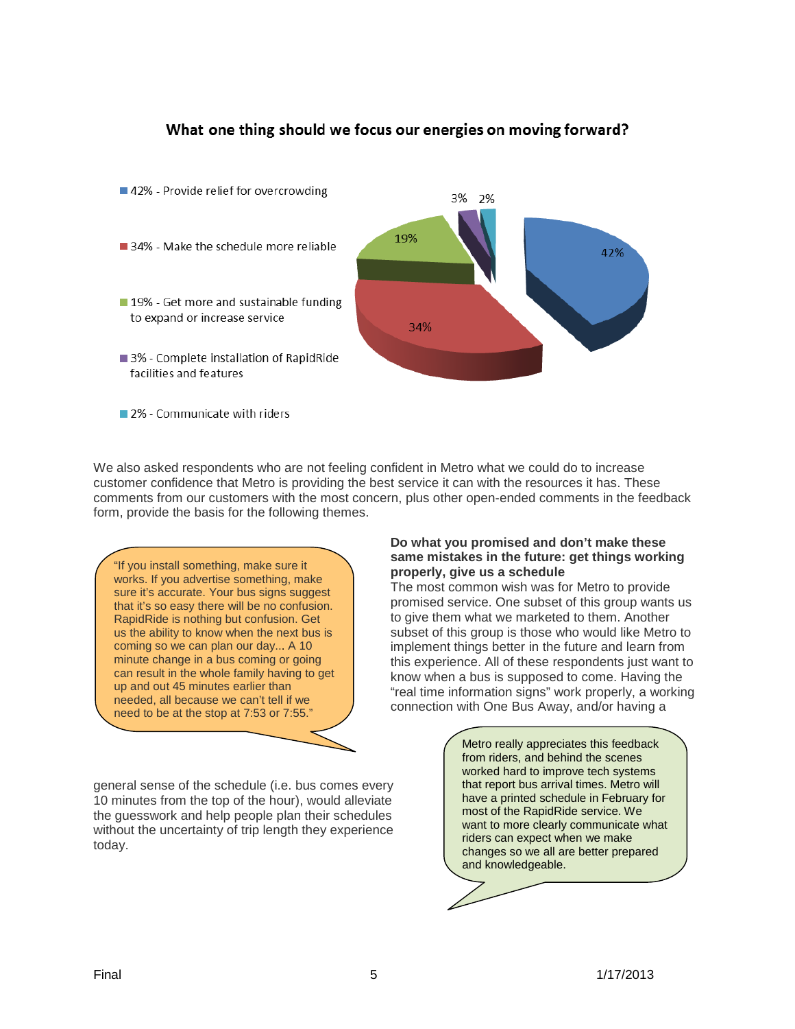## What one thing should we focus our energies on moving forward?



2% - Communicate with riders

We also asked respondents who are not feeling confident in Metro what we could do to increase customer confidence that Metro is providing the best service it can with the resources it has. These comments from our customers with the most concern, plus other open-ended comments in the feedback form, provide the basis for the following themes.

"If you install something, make sure it works. If you advertise something, make sure it's accurate. Your bus signs suggest that it's so easy there will be no confusion. RapidRide is nothing but confusion. Get us the ability to know when the next bus is coming so we can plan our day... A 10 minute change in a bus coming or going can result in the whole family having to get up and out 45 minutes earlier than needed, all because we can't tell if we need to be at the stop at 7:53 or 7:55."

general sense of the schedule (i.e. bus comes every 10 minutes from the top of the hour), would alleviate the guesswork and help people plan their schedules without the uncertainty of trip length they experience today.

## **Do what you promised and don't make these same mistakes in the future: get things working properly, give us a schedule**

The most common wish was for Metro to provide promised service. One subset of this group wants us to give them what we marketed to them. Another subset of this group is those who would like Metro to implement things better in the future and learn from this experience. All of these respondents just want to know when a bus is supposed to come. Having the "real time information signs" work properly, a working connection with One Bus Away, and/or having a

> Metro really appreciates this feedback from riders, and behind the scenes worked hard to improve tech systems that report bus arrival times. Metro will have a printed schedule in February for most of the RapidRide service. We want to more clearly communicate what riders can expect when we make changes so we all are better prepared and knowledgeable.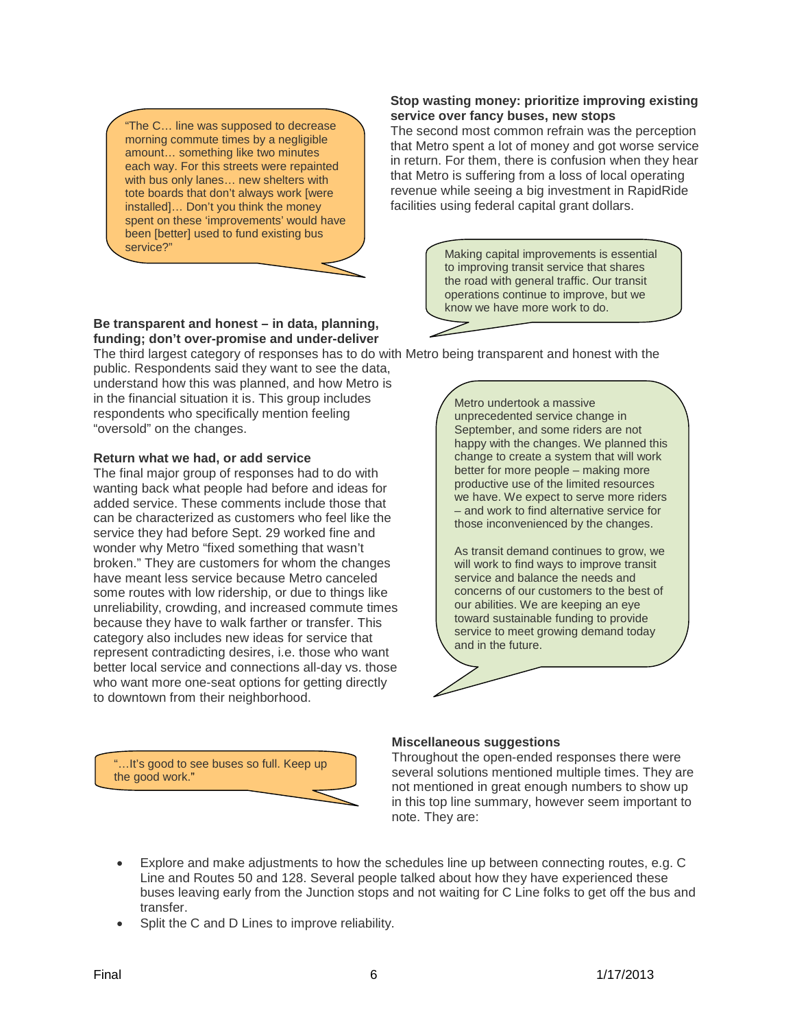"The C… line was supposed to decrease morning commute times by a negligible amount… something like two minutes each way. For this streets were repainted with bus only lanes… new shelters with tote boards that don't always work [were installed]… Don't you think the money spent on these 'improvements' would have been [better] used to fund existing bus service?"

## **Stop wasting money: prioritize improving existing service over fancy buses, new stops**

The second most common refrain was the perception that Metro spent a lot of money and got worse service in return. For them, there is confusion when they hear that Metro is suffering from a loss of local operating revenue while seeing a big investment in RapidRide facilities using federal capital grant dollars.

> Making capital improvements is essential to improving transit service that shares the road with general traffic. Our transit operations continue to improve, but we know we have more work to do.

#### **Be transparent and honest – in data, planning, funding; don't over-promise and under-deliver**

The third largest category of responses has to do with Metro being transparent and honest with the

public. Respondents said they want to see the data, understand how this was planned, and how Metro is in the financial situation it is. This group includes respondents who specifically mention feeling "oversold" on the changes.

## **Return what we had, or add service**

The final major group of responses had to do with wanting back what people had before and ideas for added service. These comments include those that can be characterized as customers who feel like the service they had before Sept. 29 worked fine and wonder why Metro "fixed something that wasn't broken." They are customers for whom the changes have meant less service because Metro canceled some routes with low ridership, or due to things like unreliability, crowding, and increased commute times because they have to walk farther or transfer. This category also includes new ideas for service that represent contradicting desires, i.e. those who want better local service and connections all-day vs. those who want more one-seat options for getting directly to downtown from their neighborhood.

"…It's good to see buses so full. Keep up

the good work."

Metro undertook a massive unprecedented service change in September, and some riders are not happy with the changes. We planned this change to create a system that will work better for more people – making more productive use of the limited resources we have. We expect to serve more riders – and work to find alternative service for those inconvenienced by the changes.

As transit demand continues to grow, we will work to find ways to improve transit service and balance the needs and concerns of our customers to the best of our abilities. We are keeping an eye toward sustainable funding to provide service to meet growing demand today and in the future.

## **Miscellaneous suggestions**

Throughout the open-ended responses there were several solutions mentioned multiple times. They are not mentioned in great enough numbers to show up in this top line summary, however seem important to note. They are:

- Explore and make adjustments to how the schedules line up between connecting routes, e.g. C Line and Routes 50 and 128. Several people talked about how they have experienced these buses leaving early from the Junction stops and not waiting for C Line folks to get off the bus and transfer.
- Split the C and D Lines to improve reliability.